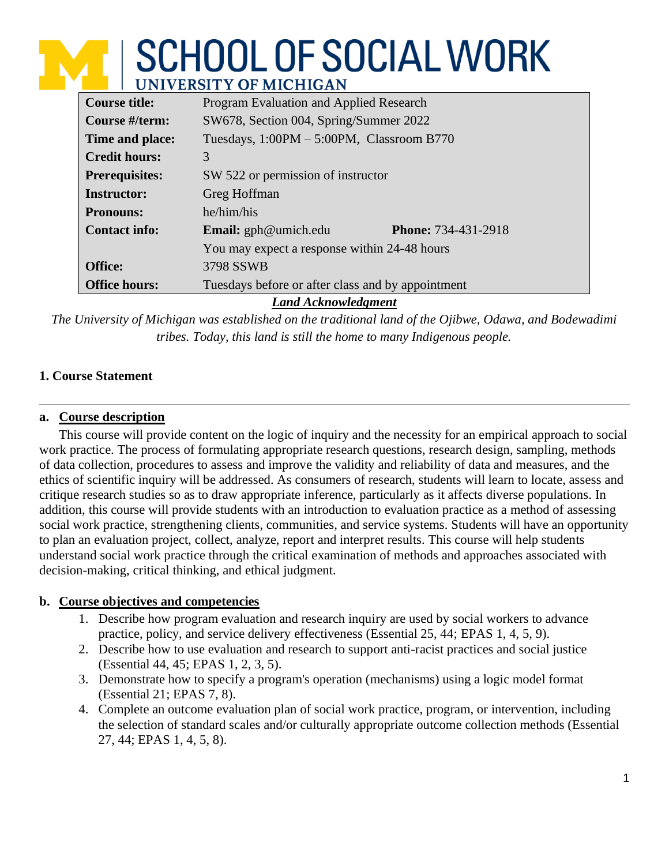# **M SCHOOL OF SOCIAL WORK NIVERSITY OF MICHIGAN**

| <b>Course title:</b>       | Program Evaluation and Applied Research                   |  |  |  |  |
|----------------------------|-----------------------------------------------------------|--|--|--|--|
| Course #/term:             | SW678, Section 004, Spring/Summer 2022                    |  |  |  |  |
| Time and place:            | Tuesdays, $1:00PM - 5:00PM$ , Classroom B770              |  |  |  |  |
| <b>Credit hours:</b>       | 3                                                         |  |  |  |  |
| <b>Prerequisites:</b>      | SW 522 or permission of instructor                        |  |  |  |  |
| <b>Instructor:</b>         | Greg Hoffman                                              |  |  |  |  |
| <b>Pronouns:</b>           | he/him/his                                                |  |  |  |  |
| <b>Contact info:</b>       | <b>Email:</b> gph@umich.edu<br><b>Phone: 734-431-2918</b> |  |  |  |  |
|                            | You may expect a response within 24-48 hours              |  |  |  |  |
| <b>Office:</b>             | 3798 SSWB                                                 |  |  |  |  |
| <b>Office hours:</b>       | Tuesdays before or after class and by appointment         |  |  |  |  |
| <b>Land Acknowledgment</b> |                                                           |  |  |  |  |

*The University of Michigan was established on the traditional land of the Ojibwe, Odawa, and Bodewadimi tribes. Today, this land is still the home to many Indigenous people.*

# **1. Course Statement**

# **a. Course description**

This course will provide content on the logic of inquiry and the necessity for an empirical approach to social work practice. The process of formulating appropriate research questions, research design, sampling, methods of data collection, procedures to assess and improve the validity and reliability of data and measures, and the ethics of scientific inquiry will be addressed. As consumers of research, students will learn to locate, assess and critique research studies so as to draw appropriate inference, particularly as it affects diverse populations. In addition, this course will provide students with an introduction to evaluation practice as a method of assessing social work practice, strengthening clients, communities, and service systems. Students will have an opportunity to plan an evaluation project, collect, analyze, report and interpret results. This course will help students understand social work practice through the critical examination of methods and approaches associated with decision-making, critical thinking, and ethical judgment.

## **b. Course objectives and competencies**

- 1. Describe how program evaluation and research inquiry are used by social workers to advance practice, policy, and service delivery effectiveness (Essential 25, 44; EPAS 1, 4, 5, 9).
- 2. Describe how to use evaluation and research to support anti-racist practices and social justice (Essential 44, 45; EPAS 1, 2, 3, 5).
- 3. Demonstrate how to specify a program's operation (mechanisms) using a logic model format (Essential 21; EPAS 7, 8).
- 4. Complete an outcome evaluation plan of social work practice, program, or intervention, including the selection of standard scales and/or culturally appropriate outcome collection methods (Essential 27, 44; EPAS 1, 4, 5, 8).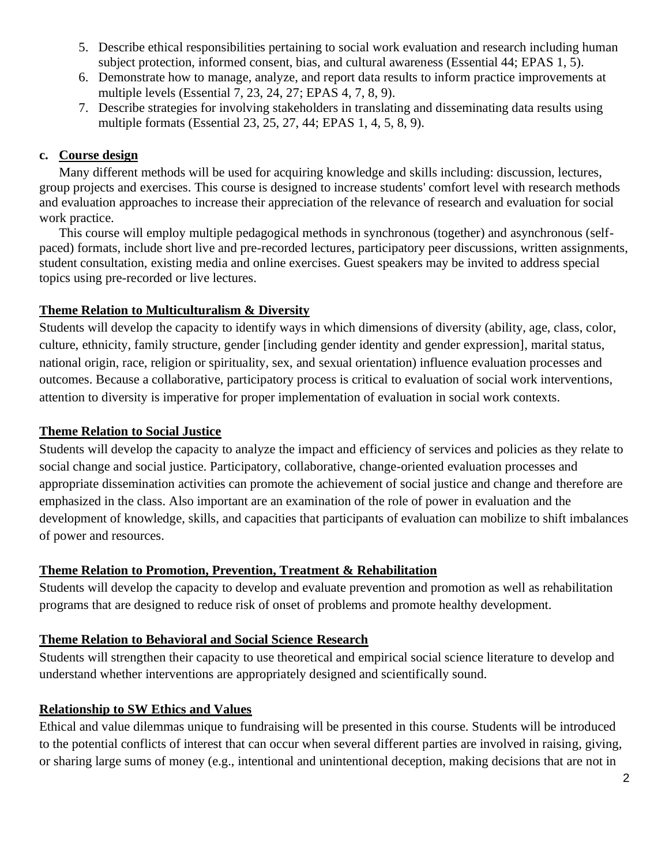- 5. Describe ethical responsibilities pertaining to social work evaluation and research including human subject protection, informed consent, bias, and cultural awareness (Essential 44; EPAS 1, 5).
- 6. Demonstrate how to manage, analyze, and report data results to inform practice improvements at multiple levels (Essential 7, 23, 24, 27; EPAS 4, 7, 8, 9).
- 7. Describe strategies for involving stakeholders in translating and disseminating data results using multiple formats (Essential 23, 25, 27, 44; EPAS 1, 4, 5, 8, 9).

# **c. Course design**

Many different methods will be used for acquiring knowledge and skills including: discussion, lectures, group projects and exercises. This course is designed to increase students' comfort level with research methods and evaluation approaches to increase their appreciation of the relevance of research and evaluation for social work practice.

This course will employ multiple pedagogical methods in synchronous (together) and asynchronous (selfpaced) formats, include short live and pre-recorded lectures, participatory peer discussions, written assignments, student consultation, existing media and online exercises. Guest speakers may be invited to address special topics using pre-recorded or live lectures.

# **Theme Relation to Multiculturalism & Diversity**

Students will develop the capacity to identify ways in which dimensions of diversity (ability, age, class, color, culture, ethnicity, family structure, gender [including gender identity and gender expression], marital status, national origin, race, religion or spirituality, sex, and sexual orientation) influence evaluation processes and outcomes. Because a collaborative, participatory process is critical to evaluation of social work interventions, attention to diversity is imperative for proper implementation of evaluation in social work contexts.

## **Theme Relation to Social Justice**

Students will develop the capacity to analyze the impact and efficiency of services and policies as they relate to social change and social justice. Participatory, collaborative, change-oriented evaluation processes and appropriate dissemination activities can promote the achievement of social justice and change and therefore are emphasized in the class. Also important are an examination of the role of power in evaluation and the development of knowledge, skills, and capacities that participants of evaluation can mobilize to shift imbalances of power and resources.

# **Theme Relation to Promotion, Prevention, Treatment & Rehabilitation**

Students will develop the capacity to develop and evaluate prevention and promotion as well as rehabilitation programs that are designed to reduce risk of onset of problems and promote healthy development.

## **Theme Relation to Behavioral and Social Science Research**

Students will strengthen their capacity to use theoretical and empirical social science literature to develop and understand whether interventions are appropriately designed and scientifically sound.

## **Relationship to SW Ethics and Values**

Ethical and value dilemmas unique to fundraising will be presented in this course. Students will be introduced to the potential conflicts of interest that can occur when several different parties are involved in raising, giving, or sharing large sums of money (e.g., intentional and unintentional deception, making decisions that are not in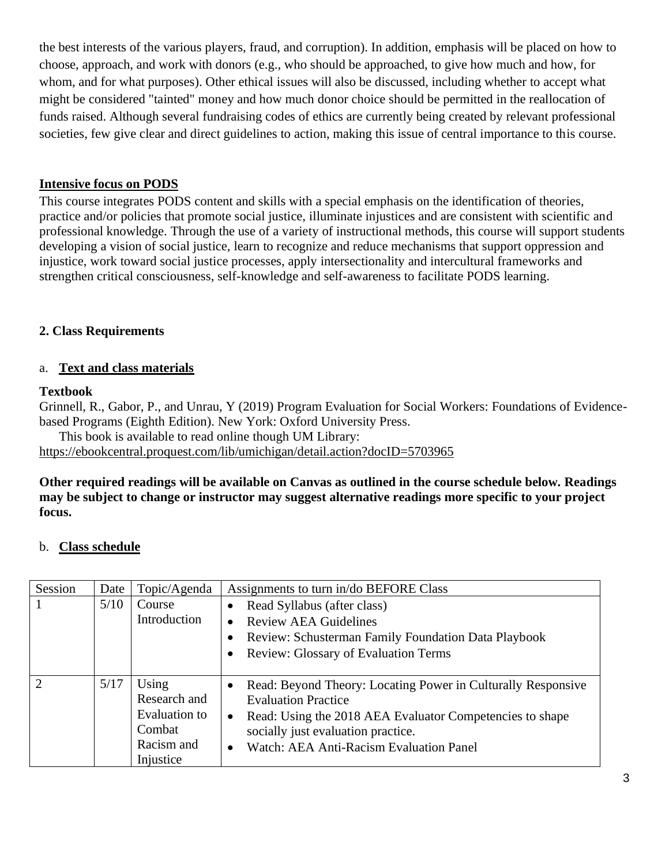the best interests of the various players, fraud, and corruption). In addition, emphasis will be placed on how to choose, approach, and work with donors (e.g., who should be approached, to give how much and how, for whom, and for what purposes). Other ethical issues will also be discussed, including whether to accept what might be considered "tainted" money and how much donor choice should be permitted in the reallocation of funds raised. Although several fundraising codes of ethics are currently being created by relevant professional societies, few give clear and direct guidelines to action, making this issue of central importance to this course.

# **Intensive focus on PODS**

This course integrates PODS content and skills with a special emphasis on the identification of theories, practice and/or policies that promote social justice, illuminate injustices and are consistent with scientific and professional knowledge. Through the use of a variety of instructional methods, this course will support students developing a vision of social justice, learn to recognize and reduce mechanisms that support oppression and injustice, work toward social justice processes, apply intersectionality and intercultural frameworks and strengthen critical consciousness, self-knowledge and self-awareness to facilitate PODS learning.

# **2. Class Requirements**

## a. **Text and class materials**

#### **Textbook**

Grinnell, R., Gabor, P., and Unrau, Y (2019) Program Evaluation for Social Workers: Foundations of Evidencebased Programs (Eighth Edition). New York: Oxford University Press.

This book is available to read online though UM Library:

<https://ebookcentral.proquest.com/lib/umichigan/detail.action?docID=5703965>

**Other required readings will be available on Canvas as outlined in the course schedule below. Readings may be subject to change or instructor may suggest alternative readings more specific to your project focus.**

## b. **Class schedule**

| Session | Date | Topic/Agenda  |                                          | Assignments to turn in/do BEFORE Class                       |  |  |  |
|---------|------|---------------|------------------------------------------|--------------------------------------------------------------|--|--|--|
|         | 5/10 | Course        | Read Syllabus (after class)<br>$\bullet$ |                                                              |  |  |  |
|         |      | Introduction  | $\bullet$                                | <b>Review AEA Guidelines</b>                                 |  |  |  |
|         |      |               | $\bullet$                                | Review: Schusterman Family Foundation Data Playbook          |  |  |  |
|         |      |               | $\bullet$                                | <b>Review: Glossary of Evaluation Terms</b>                  |  |  |  |
|         |      |               |                                          |                                                              |  |  |  |
| 2       | 5/17 | Using         | $\bullet$                                | Read: Beyond Theory: Locating Power in Culturally Responsive |  |  |  |
|         |      | Research and  |                                          | <b>Evaluation Practice</b>                                   |  |  |  |
|         |      | Evaluation to | $\bullet$                                | Read: Using the 2018 AEA Evaluator Competencies to shape     |  |  |  |
|         |      | Combat        |                                          | socially just evaluation practice.                           |  |  |  |
|         |      | Racism and    | $\bullet$                                | Watch: AEA Anti-Racism Evaluation Panel                      |  |  |  |
|         |      | Injustice     |                                          |                                                              |  |  |  |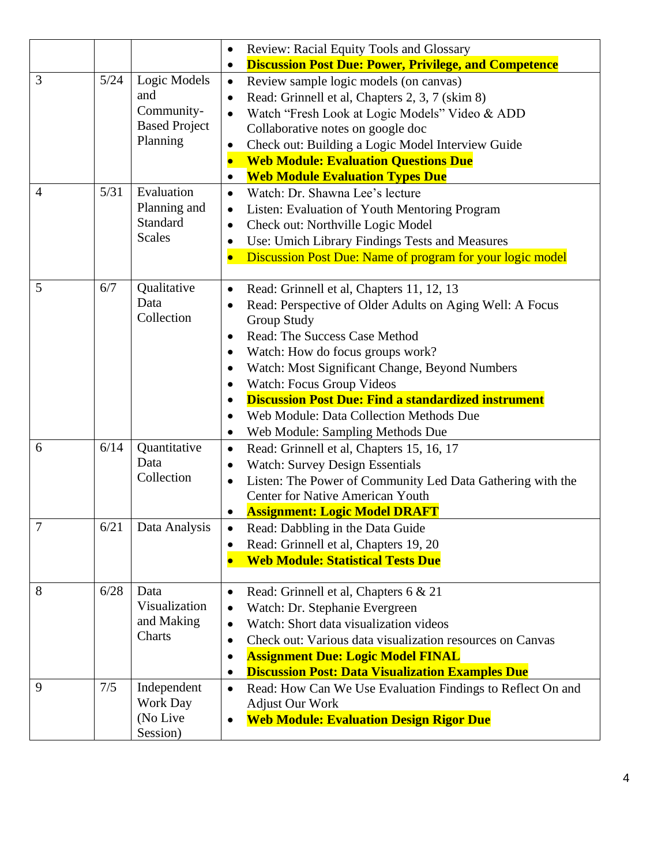|                |      |                                                                       | Review: Racial Equity Tools and Glossary<br>$\bullet$                                                                                                                                                                                                                                                                                                                                                                                                                                                                  |  |  |  |  |
|----------------|------|-----------------------------------------------------------------------|------------------------------------------------------------------------------------------------------------------------------------------------------------------------------------------------------------------------------------------------------------------------------------------------------------------------------------------------------------------------------------------------------------------------------------------------------------------------------------------------------------------------|--|--|--|--|
|                |      |                                                                       | <b>Discussion Post Due: Power, Privilege, and Competence</b><br>$\bullet$                                                                                                                                                                                                                                                                                                                                                                                                                                              |  |  |  |  |
| 3              | 5/24 | Logic Models<br>and<br>Community-<br><b>Based Project</b><br>Planning | Review sample logic models (on canvas)<br>$\bullet$<br>Read: Grinnell et al, Chapters 2, 3, 7 (skim 8)<br>$\bullet$<br>Watch "Fresh Look at Logic Models" Video & ADD<br>$\bullet$<br>Collaborative notes on google doc<br>Check out: Building a Logic Model Interview Guide<br>$\bullet$<br><b>Web Module: Evaluation Questions Due</b><br>$\bullet$<br><b>Web Module Evaluation Types Due</b><br>$\bullet$                                                                                                           |  |  |  |  |
| $\overline{4}$ | 5/31 | Evaluation<br>Planning and<br>Standard<br><b>Scales</b>               | Watch: Dr. Shawna Lee's lecture<br>$\bullet$<br>Listen: Evaluation of Youth Mentoring Program<br>$\bullet$<br>Check out: Northville Logic Model<br>$\bullet$<br>Use: Umich Library Findings Tests and Measures<br>$\bullet$<br>Discussion Post Due: Name of program for your logic model<br>$\bullet$                                                                                                                                                                                                                  |  |  |  |  |
| 5              | 6/7  | Qualitative<br>Data<br>Collection                                     | Read: Grinnell et al, Chapters 11, 12, 13<br>$\bullet$<br>Read: Perspective of Older Adults on Aging Well: A Focus<br><b>Group Study</b><br><b>Read: The Success Case Method</b><br>$\bullet$<br>Watch: How do focus groups work?<br>$\bullet$<br>Watch: Most Significant Change, Beyond Numbers<br>٠<br>Watch: Focus Group Videos<br>$\bullet$<br><b>Discussion Post Due: Find a standardized instrument</b><br>Web Module: Data Collection Methods Due<br>$\bullet$<br>Web Module: Sampling Methods Due<br>$\bullet$ |  |  |  |  |
| 6              | 6/14 | Quantitative<br>Data<br>Collection                                    | Read: Grinnell et al, Chapters 15, 16, 17<br>$\bullet$<br><b>Watch: Survey Design Essentials</b><br>Listen: The Power of Community Led Data Gathering with the<br>$\bullet$<br><b>Center for Native American Youth</b><br><b>Assignment: Logic Model DRAFT</b>                                                                                                                                                                                                                                                         |  |  |  |  |
| $\tau$         | 6/21 | Data Analysis                                                         | Read: Dabbling in the Data Guide<br>Read: Grinnell et al, Chapters 19, 20<br><b>Web Module: Statistical Tests Due</b>                                                                                                                                                                                                                                                                                                                                                                                                  |  |  |  |  |
| 8              | 6/28 | Data<br>Visualization<br>and Making<br>Charts                         | Read: Grinnell et al, Chapters 6 & 21<br>$\bullet$<br>Watch: Dr. Stephanie Evergreen<br>$\bullet$<br>Watch: Short data visualization videos<br>$\bullet$<br>Check out: Various data visualization resources on Canvas<br>$\bullet$<br><b>Assignment Due: Logic Model FINAL</b><br>$\bullet$<br><b>Discussion Post: Data Visualization Examples Due</b><br>$\bullet$                                                                                                                                                    |  |  |  |  |
| 9              | 7/5  | Independent<br>Work Day<br>(No Live)<br>Session)                      | Read: How Can We Use Evaluation Findings to Reflect On and<br>$\bullet$<br><b>Adjust Our Work</b><br><b>Web Module: Evaluation Design Rigor Due</b>                                                                                                                                                                                                                                                                                                                                                                    |  |  |  |  |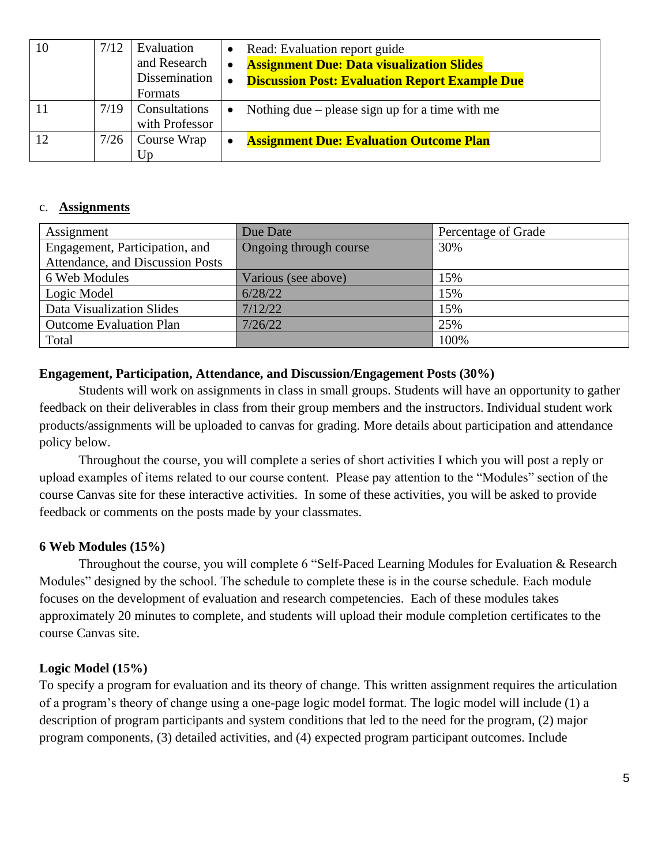| 10 | 7/12 | Evaluation<br>and Research<br>Dissemination<br>Formats | $\bullet$<br>$\bullet$<br>$\bullet$ | Read: Evaluation report guide<br><b>Assignment Due: Data visualization Slides</b><br><b>Discussion Post: Evaluation Report Example Due</b> |
|----|------|--------------------------------------------------------|-------------------------------------|--------------------------------------------------------------------------------------------------------------------------------------------|
|    | 7/19 | Consultations<br>with Professor                        | $\bullet$                           | Nothing due $-$ please sign up for a time with me                                                                                          |
|    | 7/26 | Course Wrap<br>Up                                      | $\bullet$                           | <b>Assignment Due: Evaluation Outcome Plan</b>                                                                                             |

#### c. **Assignments**

| Assignment                       | Due Date               | Percentage of Grade |
|----------------------------------|------------------------|---------------------|
| Engagement, Participation, and   | Ongoing through course | 30%                 |
| Attendance, and Discussion Posts |                        |                     |
| 6 Web Modules                    | Various (see above)    | 15%                 |
| Logic Model                      | 6/28/22                | 15%                 |
| Data Visualization Slides        | 7/12/22                | 15%                 |
| <b>Outcome Evaluation Plan</b>   | 7/26/22                | 25%                 |
| Total                            |                        | 100%                |

#### **Engagement, Participation, Attendance, and Discussion/Engagement Posts (30%)**

Students will work on assignments in class in small groups. Students will have an opportunity to gather feedback on their deliverables in class from their group members and the instructors. Individual student work products/assignments will be uploaded to canvas for grading. More details about participation and attendance policy below.

Throughout the course, you will complete a series of short activities I which you will post a reply or upload examples of items related to our course content. Please pay attention to the "Modules" section of the course Canvas site for these interactive activities. In some of these activities, you will be asked to provide feedback or comments on the posts made by your classmates.

## **6 Web Modules (15%)**

Throughout the course, you will complete 6 "Self-Paced Learning Modules for Evaluation & Research Modules" designed by the school. The schedule to complete these is in the course schedule. Each module focuses on the development of evaluation and research competencies. Each of these modules takes approximately 20 minutes to complete, and students will upload their module completion certificates to the course Canvas site.

## **Logic Model (15%)**

To specify a program for evaluation and its theory of change. This written assignment requires the articulation of a program's theory of change using a one-page logic model format. The logic model will include (1) a description of program participants and system conditions that led to the need for the program, (2) major program components, (3) detailed activities, and (4) expected program participant outcomes. Include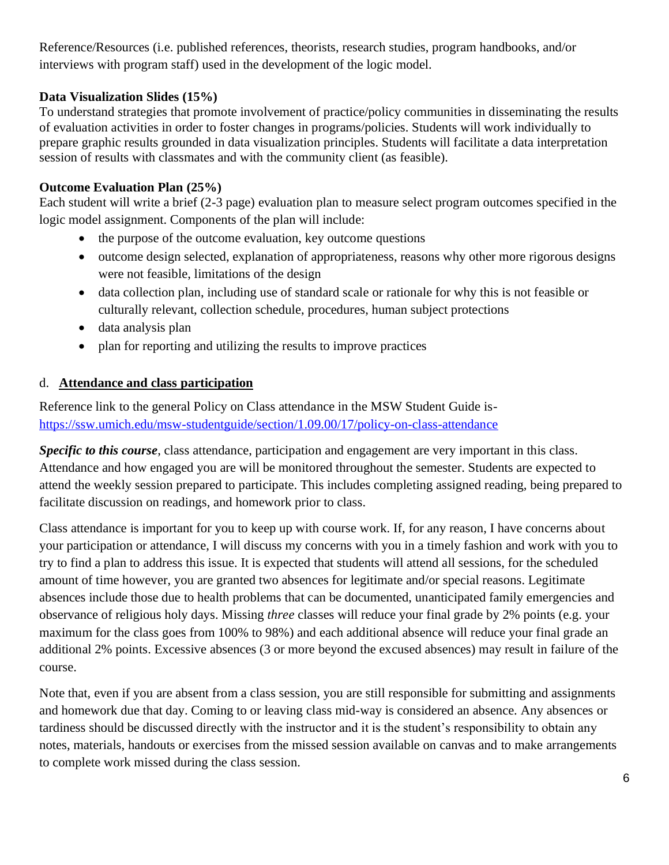Reference/Resources (i.e. published references, theorists, research studies, program handbooks, and/or interviews with program staff) used in the development of the logic model.

# **Data Visualization Slides (15%)**

To understand strategies that promote involvement of practice/policy communities in disseminating the results of evaluation activities in order to foster changes in programs/policies. Students will work individually to prepare graphic results grounded in data visualization principles. Students will facilitate a data interpretation session of results with classmates and with the community client (as feasible).

# **Outcome Evaluation Plan (25%)**

Each student will write a brief (2-3 page) evaluation plan to measure select program outcomes specified in the logic model assignment. Components of the plan will include:

- the purpose of the outcome evaluation, key outcome questions
- outcome design selected, explanation of appropriateness, reasons why other more rigorous designs were not feasible, limitations of the design
- data collection plan, including use of standard scale or rationale for why this is not feasible or culturally relevant, collection schedule, procedures, human subject protections
- data analysis plan
- plan for reporting and utilizing the results to improve practices

# d. **Attendance and class participation**

Reference link to the general Policy on Class attendance in the MSW Student Guide is<https://ssw.umich.edu/msw-studentguide/section/1.09.00/17/policy-on-class-attendance>

*Specific to this course*, class attendance, participation and engagement are very important in this class. Attendance and how engaged you are will be monitored throughout the semester. Students are expected to attend the weekly session prepared to participate. This includes completing assigned reading, being prepared to facilitate discussion on readings, and homework prior to class.

Class attendance is important for you to keep up with course work. If, for any reason, I have concerns about your participation or attendance, I will discuss my concerns with you in a timely fashion and work with you to try to find a plan to address this issue. It is expected that students will attend all sessions, for the scheduled amount of time however, you are granted two absences for legitimate and/or special reasons. Legitimate absences include those due to health problems that can be documented, unanticipated family emergencies and observance of religious holy days. Missing *three* classes will reduce your final grade by 2% points (e.g. your maximum for the class goes from 100% to 98%) and each additional absence will reduce your final grade an additional 2% points. Excessive absences (3 or more beyond the excused absences) may result in failure of the course.

Note that, even if you are absent from a class session, you are still responsible for submitting and assignments and homework due that day. Coming to or leaving class mid-way is considered an absence. Any absences or tardiness should be discussed directly with the instructor and it is the student's responsibility to obtain any notes, materials, handouts or exercises from the missed session available on canvas and to make arrangements to complete work missed during the class session.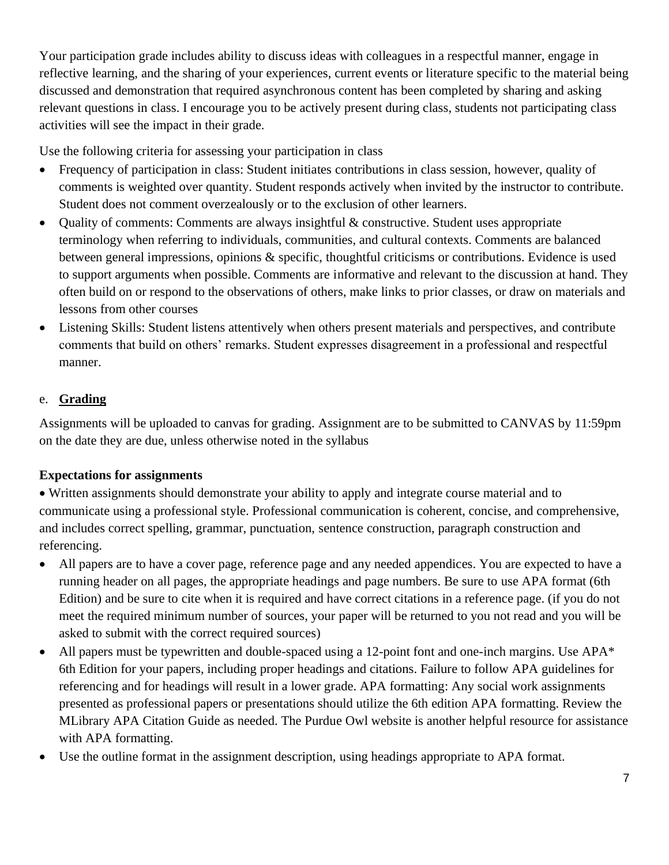Your participation grade includes ability to discuss ideas with colleagues in a respectful manner, engage in reflective learning, and the sharing of your experiences, current events or literature specific to the material being discussed and demonstration that required asynchronous content has been completed by sharing and asking relevant questions in class. I encourage you to be actively present during class, students not participating class activities will see the impact in their grade.

Use the following criteria for assessing your participation in class

- Frequency of participation in class: Student initiates contributions in class session, however, quality of comments is weighted over quantity. Student responds actively when invited by the instructor to contribute. Student does not comment overzealously or to the exclusion of other learners.
- Quality of comments: Comments are always insightful & constructive. Student uses appropriate terminology when referring to individuals, communities, and cultural contexts. Comments are balanced between general impressions, opinions & specific, thoughtful criticisms or contributions. Evidence is used to support arguments when possible. Comments are informative and relevant to the discussion at hand. They often build on or respond to the observations of others, make links to prior classes, or draw on materials and lessons from other courses
- Listening Skills: Student listens attentively when others present materials and perspectives, and contribute comments that build on others' remarks. Student expresses disagreement in a professional and respectful manner.

# e. **Grading**

Assignments will be uploaded to canvas for grading. Assignment are to be submitted to CANVAS by 11:59pm on the date they are due, unless otherwise noted in the syllabus

# **Expectations for assignments**

• Written assignments should demonstrate your ability to apply and integrate course material and to communicate using a professional style. Professional communication is coherent, concise, and comprehensive, and includes correct spelling, grammar, punctuation, sentence construction, paragraph construction and referencing.

- All papers are to have a cover page, reference page and any needed appendices. You are expected to have a running header on all pages, the appropriate headings and page numbers. Be sure to use APA format (6th Edition) and be sure to cite when it is required and have correct citations in a reference page. (if you do not meet the required minimum number of sources, your paper will be returned to you not read and you will be asked to submit with the correct required sources)
- All papers must be typewritten and double-spaced using a 12-point font and one-inch margins. Use APA\* 6th Edition for your papers, including proper headings and citations. Failure to follow APA guidelines for referencing and for headings will result in a lower grade. APA formatting: Any social work assignments presented as professional papers or presentations should utilize the 6th edition APA formatting. Review the MLibrary APA Citation Guide as needed. The Purdue Owl website is another helpful resource for assistance with APA formatting.
- Use the outline format in the assignment description, using headings appropriate to APA format.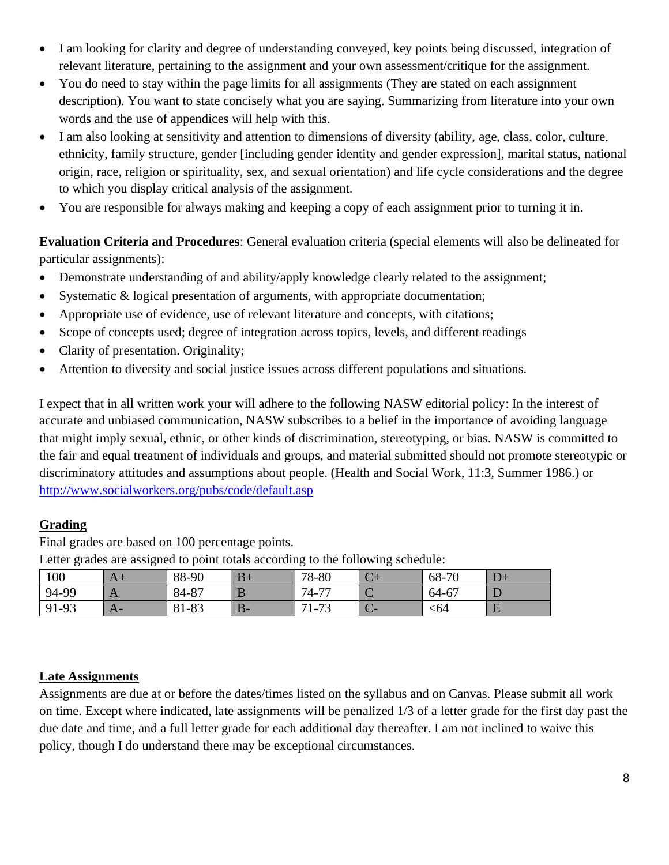- I am looking for clarity and degree of understanding conveyed, key points being discussed, integration of relevant literature, pertaining to the assignment and your own assessment/critique for the assignment.
- You do need to stay within the page limits for all assignments (They are stated on each assignment description). You want to state concisely what you are saying. Summarizing from literature into your own words and the use of appendices will help with this.
- I am also looking at sensitivity and attention to dimensions of diversity (ability, age, class, color, culture, ethnicity, family structure, gender [including gender identity and gender expression], marital status, national origin, race, religion or spirituality, sex, and sexual orientation) and life cycle considerations and the degree to which you display critical analysis of the assignment.
- You are responsible for always making and keeping a copy of each assignment prior to turning it in.

**Evaluation Criteria and Procedures**: General evaluation criteria (special elements will also be delineated for particular assignments):

- Demonstrate understanding of and ability/apply knowledge clearly related to the assignment;
- Systematic & logical presentation of arguments, with appropriate documentation;
- Appropriate use of evidence, use of relevant literature and concepts, with citations;
- Scope of concepts used; degree of integration across topics, levels, and different readings
- Clarity of presentation. Originality:
- Attention to diversity and social justice issues across different populations and situations.

I expect that in all written work your will adhere to the following NASW editorial policy: In the interest of accurate and unbiased communication, NASW subscribes to a belief in the importance of avoiding language that might imply sexual, ethnic, or other kinds of discrimination, stereotyping, or bias. NASW is committed to the fair and equal treatment of individuals and groups, and material submitted should not promote stereotypic or discriminatory attitudes and assumptions about people. (Health and Social Work, 11:3, Summer 1986.) or <http://www.socialworkers.org/pubs/code/default.asp>

## **Grading**

Final grades are based on 100 percentage points.

| <u>the companion of the contract of the companion of the companion of the companion of the companion of the contract of the contract of the contract of the contract of the contract of the contract of the contract of the cont</u> |   |       |      |                                |   |                |  |
|--------------------------------------------------------------------------------------------------------------------------------------------------------------------------------------------------------------------------------------|---|-------|------|--------------------------------|---|----------------|--|
| 100                                                                                                                                                                                                                                  | x | 88-90 | $B+$ | 78-80                          |   | $68 - 7$<br>70 |  |
| 94-99                                                                                                                                                                                                                                |   | 84-87 |      | $-77$<br>$74-$                 | ՝ | 64-67          |  |
| 91-93                                                                                                                                                                                                                                |   | 81-83 | D-   | $\mathbf{a}$<br>71<br>$1 - 72$ | Č | <64            |  |

Letter grades are assigned to point totals according to the following schedule:

# **Late Assignments**

Assignments are due at or before the dates/times listed on the syllabus and on Canvas. Please submit all work on time. Except where indicated, late assignments will be penalized 1/3 of a letter grade for the first day past the due date and time, and a full letter grade for each additional day thereafter. I am not inclined to waive this policy, though I do understand there may be exceptional circumstances.